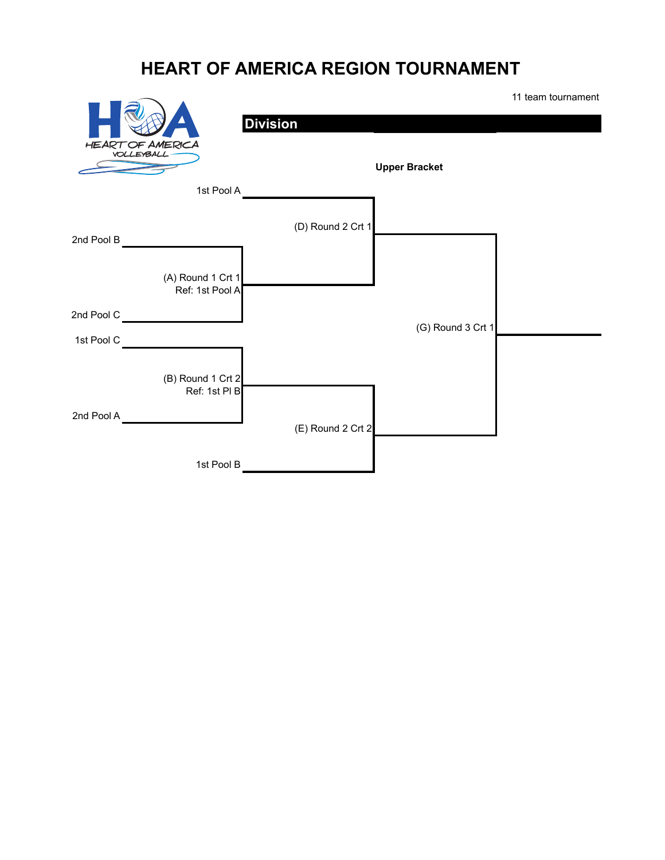## **HEART OF AMERICA REGION TOURNAMENT**